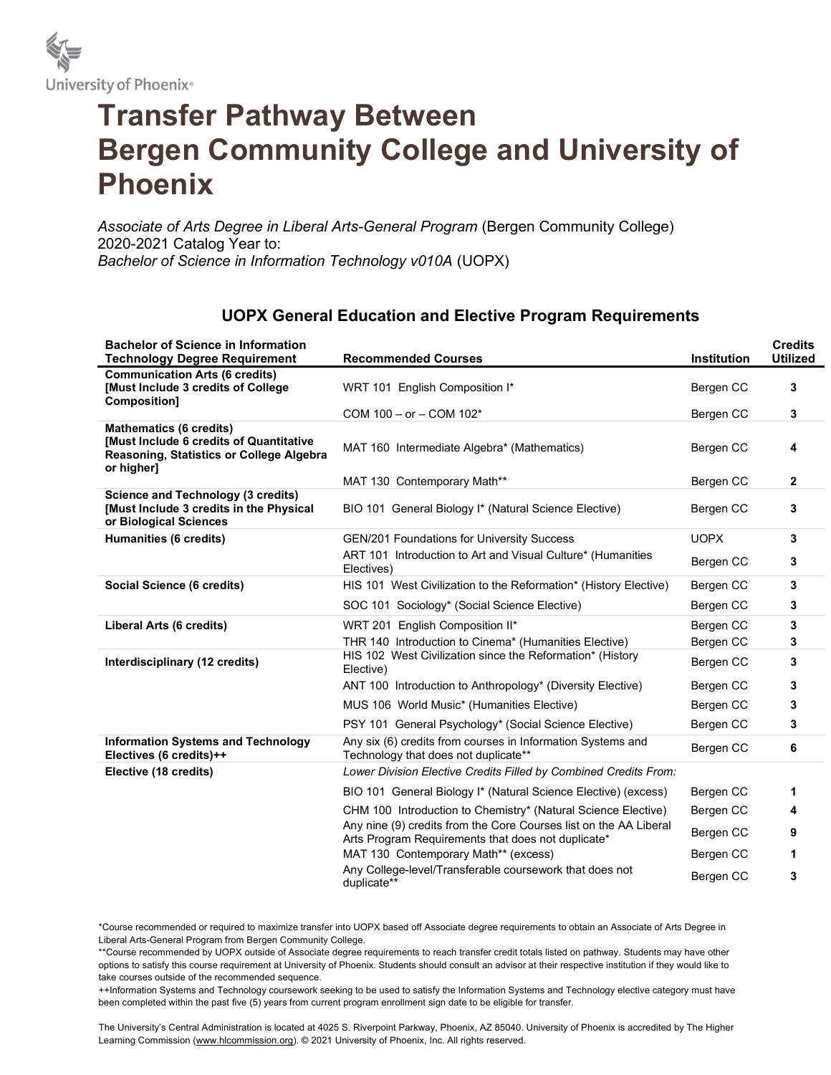

## Transfer Pathway Between Bergen Community College and University of Phoenix

Associate of Arts Degree in Liberal Arts-General Program (Bergen Community College) 2020-2021 Catalog Year to: Bachelor of Science in Information Technology v010A (UOPX)

## UOPX General Education and Elective Program Requirements

| <b>Bachelor of Science in Information</b><br><b>Technology Degree Requirement</b>                                                          | <b>Recommended Courses</b>                                                                                              | <b>Institution</b> | <b>Credits</b><br><b>Utilized</b> |
|--------------------------------------------------------------------------------------------------------------------------------------------|-------------------------------------------------------------------------------------------------------------------------|--------------------|-----------------------------------|
| <b>Communication Arts (6 credits)</b><br><b>[Must Include 3 credits of College</b><br>Composition]                                         | WRT 101 English Composition I*                                                                                          | Bergen CC          | 3                                 |
|                                                                                                                                            | COM 100 - or - COM 102*                                                                                                 | Bergen CC          | 3                                 |
| <b>Mathematics (6 credits)</b><br><b>IMust Include 6 credits of Quantitative</b><br>Reasoning, Statistics or College Algebra<br>or higher] | MAT 160 Intermediate Algebra* (Mathematics)                                                                             | Bergen CC          | 4                                 |
|                                                                                                                                            | MAT 130 Contemporary Math**                                                                                             | Bergen CC          | $\mathbf{2}$                      |
| <b>Science and Technology (3 credits)</b><br>[Must Include 3 credits in the Physical<br>or Biological Sciences                             | BIO 101 General Biology I* (Natural Science Elective)                                                                   | Bergen CC          | 3                                 |
| Humanities (6 credits)                                                                                                                     | <b>GEN/201 Foundations for University Success</b>                                                                       | <b>UOPX</b>        | 3                                 |
|                                                                                                                                            | ART 101 Introduction to Art and Visual Culture* (Humanities<br>Electives)                                               | Bergen CC          | 3                                 |
| Social Science (6 credits)                                                                                                                 | HIS 101 West Civilization to the Reformation* (History Elective)                                                        | Bergen CC          | 3                                 |
|                                                                                                                                            | SOC 101 Sociology* (Social Science Elective)                                                                            | Bergen CC          | 3                                 |
| Liberal Arts (6 credits)                                                                                                                   | WRT 201 English Composition II*                                                                                         | Bergen CC          | 3                                 |
|                                                                                                                                            | THR 140 Introduction to Cinema* (Humanities Elective)                                                                   | Bergen CC          | 3                                 |
| Interdisciplinary (12 credits)                                                                                                             | HIS 102 West Civilization since the Reformation* (History<br>Elective)                                                  | Bergen CC          | 3                                 |
|                                                                                                                                            | ANT 100 Introduction to Anthropology* (Diversity Elective)                                                              | Bergen CC          | 3                                 |
|                                                                                                                                            | MUS 106 World Music* (Humanities Elective)                                                                              | Bergen CC          | 3                                 |
|                                                                                                                                            | PSY 101 General Psychology* (Social Science Elective)                                                                   | Bergen CC          | 3                                 |
| <b>Information Systems and Technology</b><br>Electives (6 credits)++                                                                       | Any six (6) credits from courses in Information Systems and<br>Technology that does not duplicate**                     | Bergen CC          | 6                                 |
| Elective (18 credits)                                                                                                                      | Lower Division Elective Credits Filled by Combined Credits From:                                                        |                    |                                   |
|                                                                                                                                            | BIO 101 General Biology I* (Natural Science Elective) (excess)                                                          | Bergen CC          | 1                                 |
|                                                                                                                                            | CHM 100 Introduction to Chemistry* (Natural Science Elective)                                                           | Bergen CC          | 4                                 |
|                                                                                                                                            | Any nine (9) credits from the Core Courses list on the AA Liberal<br>Arts Program Requirements that does not duplicate* | Bergen CC          | 9                                 |
|                                                                                                                                            | MAT 130 Contemporary Math** (excess)                                                                                    | Bergen CC          | 1                                 |
|                                                                                                                                            | Any College-level/Transferable coursework that does not<br>duplicate**                                                  | Bergen CC          | 3                                 |

\*Course recommended or required to maximize transfer into UOPX based off Associate degree requirements to obtain an Associate of Arts Degree in Liberal Arts-General Program from Bergen Community College.

\*\*Course recommended by UOPX outside of Associate degree requirements to reach transfer credit totals listed on pathway. Students may have other options to satisfy this course requirement at University of Phoenix. Students should consult an advisor at their respective institution if they would like to take courses outside of the recommended sequence.

++Information Systems and Technology coursework seeking to be used to satisfy the Information Systems and Technology elective category must have been completed within the past five (5) years from current program enrollment sign date to be eligible for transfer.

The University's Central Administration is located at 4025 S. Riverpoint Parkway, Phoenix, AZ 85040. University of Phoenix is accredited by The Higher Learning Commission (www.hlcommission.org). © 2021 University of Phoenix, Inc. All rights reserved.